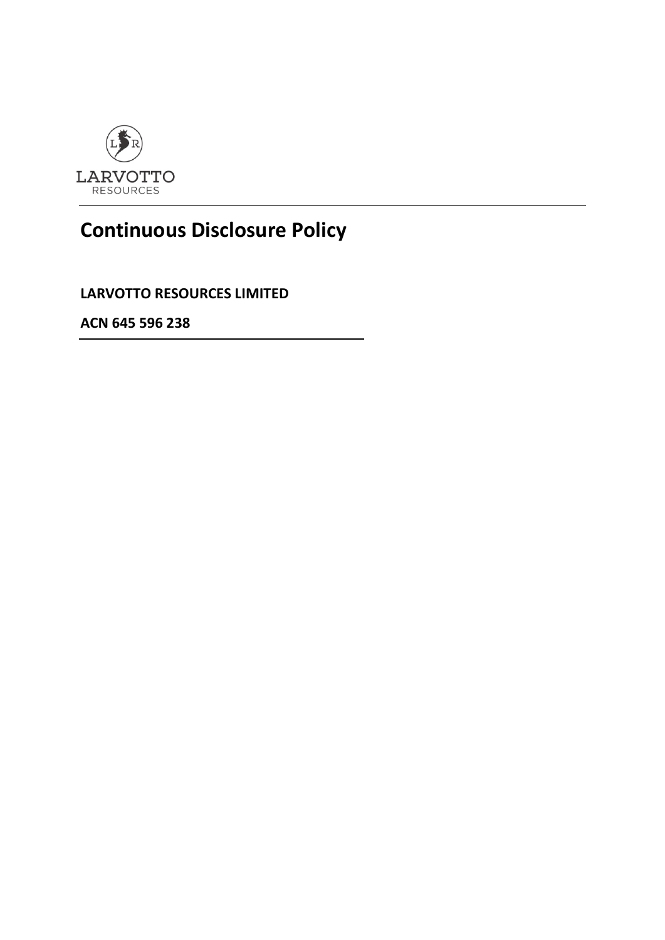

## **Continuous Disclosure Policy**

**LARVOTTO RESOURCES LIMITED**

**ACN 645 596 238**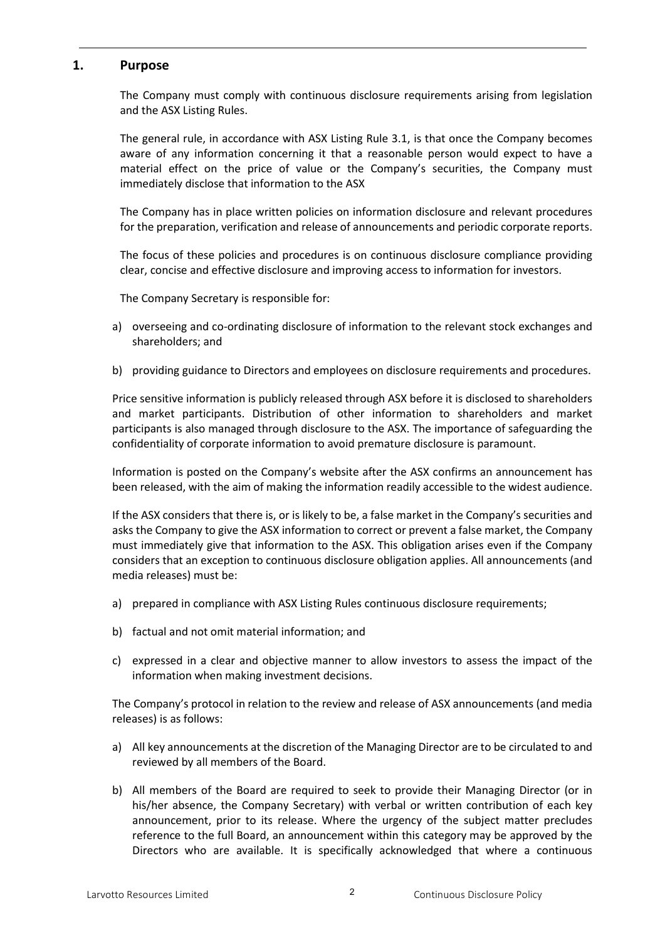## **1. Purpose**

The Company must comply with continuous disclosure requirements arising from legislation and the ASX Listing Rules.

The general rule, in accordance with ASX Listing Rule 3.1, is that once the Company becomes aware of any information concerning it that a reasonable person would expect to have a material effect on the price of value or the Company's securities, the Company must immediately disclose that information to the ASX

The Company has in place written policies on information disclosure and relevant procedures for the preparation, verification and release of announcements and periodic corporate reports.

The focus of these policies and procedures is on continuous disclosure compliance providing clear, concise and effective disclosure and improving access to information for investors.

The Company Secretary is responsible for:

- a) overseeing and co-ordinating disclosure of information to the relevant stock exchanges and shareholders; and
- b) providing guidance to Directors and employees on disclosure requirements and procedures.

Price sensitive information is publicly released through ASX before it is disclosed to shareholders and market participants. Distribution of other information to shareholders and market participants is also managed through disclosure to the ASX. The importance of safeguarding the confidentiality of corporate information to avoid premature disclosure is paramount.

Information is posted on the Company's website after the ASX confirms an announcement has been released, with the aim of making the information readily accessible to the widest audience.

If the ASX considers that there is, or is likely to be, a false market in the Company's securities and asks the Company to give the ASX information to correct or prevent a false market, the Company must immediately give that information to the ASX. This obligation arises even if the Company considers that an exception to continuous disclosure obligation applies. All announcements (and media releases) must be:

- a) prepared in compliance with ASX Listing Rules continuous disclosure requirements;
- b) factual and not omit material information; and
- c) expressed in a clear and objective manner to allow investors to assess the impact of the information when making investment decisions.

The Company's protocol in relation to the review and release of ASX announcements (and media releases) is as follows:

- a) All key announcements at the discretion of the Managing Director are to be circulated to and reviewed by all members of the Board.
- b) All members of the Board are required to seek to provide their Managing Director (or in his/her absence, the Company Secretary) with verbal or written contribution of each key announcement, prior to its release. Where the urgency of the subject matter precludes reference to the full Board, an announcement within this category may be approved by the Directors who are available. It is specifically acknowledged that where a continuous